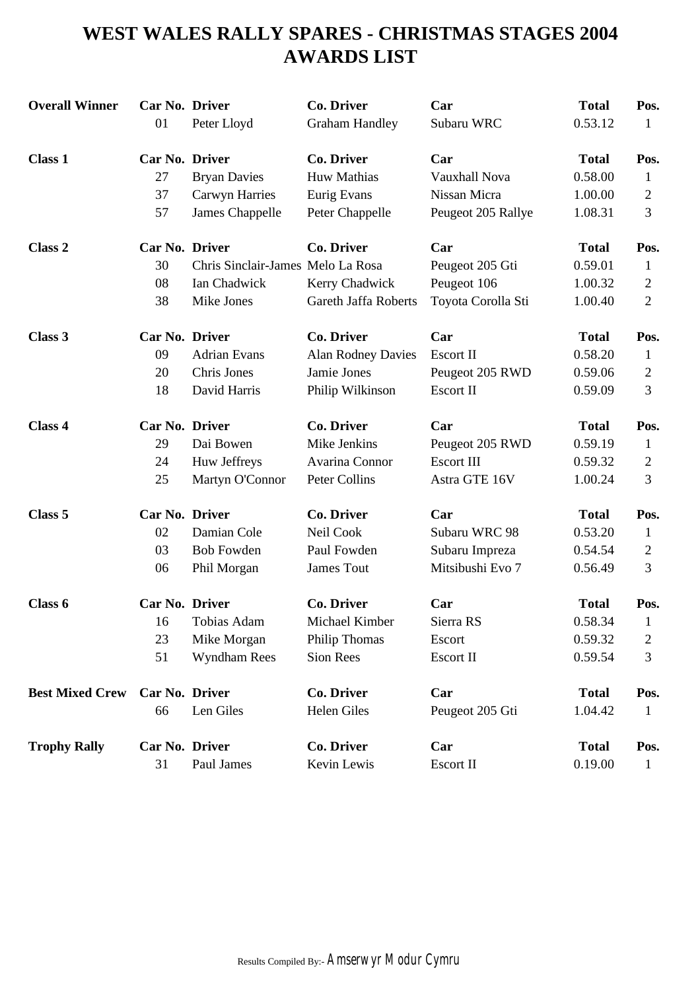# **WEST WALES RALLY SPARES - CHRISTMAS STAGES 2004 AWARDS LIST**

| <b>Overall Winner</b>  | Car No. Driver |                                   | <b>Co. Driver</b>         | Car                | <b>Total</b> | Pos.           |
|------------------------|----------------|-----------------------------------|---------------------------|--------------------|--------------|----------------|
|                        | 01             | Peter Lloyd                       | <b>Graham Handley</b>     | Subaru WRC         | 0.53.12      | 1              |
| <b>Class 1</b>         | Car No. Driver |                                   | <b>Co. Driver</b>         | Car                | <b>Total</b> | Pos.           |
|                        | 27             | <b>Bryan Davies</b>               | Huw Mathias               | Vauxhall Nova      | 0.58.00      | 1              |
|                        | 37             | <b>Carwyn Harries</b>             | Eurig Evans               | Nissan Micra       | 1.00.00      | $\mathfrak{2}$ |
|                        | 57             | James Chappelle                   | Peter Chappelle           | Peugeot 205 Rallye | 1.08.31      | 3              |
| Class <sub>2</sub>     | Car No. Driver |                                   | <b>Co. Driver</b>         | Car                | <b>Total</b> | Pos.           |
|                        | 30             | Chris Sinclair-James Melo La Rosa |                           | Peugeot 205 Gti    | 0.59.01      | $\mathbf{1}$   |
|                        | 08             | Ian Chadwick                      | Kerry Chadwick            | Peugeot 106        | 1.00.32      | 2              |
|                        | 38             | Mike Jones                        | Gareth Jaffa Roberts      | Toyota Corolla Sti | 1.00.40      | $\overline{2}$ |
| Class 3                | Car No. Driver |                                   | <b>Co. Driver</b>         | Car                | <b>Total</b> | Pos.           |
|                        | 09             | <b>Adrian Evans</b>               | <b>Alan Rodney Davies</b> | Escort II          | 0.58.20      | $\mathbf{1}$   |
|                        | 20             | Chris Jones                       | Jamie Jones               | Peugeot 205 RWD    | 0.59.06      | $\mathbf{2}$   |
|                        | 18             | David Harris                      | Philip Wilkinson          | Escort II          | 0.59.09      | 3              |
| Class 4                | Car No. Driver |                                   | <b>Co. Driver</b>         | Car                | <b>Total</b> | Pos.           |
|                        | 29             | Dai Bowen                         | Mike Jenkins              | Peugeot 205 RWD    | 0.59.19      | $\mathbf{1}$   |
|                        | 24             | Huw Jeffreys                      | Avarina Connor            | <b>Escort III</b>  | 0.59.32      | 2              |
|                        | 25             | Martyn O'Connor                   | Peter Collins             | Astra GTE 16V      | 1.00.24      | 3              |
| Class 5                | Car No. Driver |                                   | <b>Co. Driver</b>         | Car                | <b>Total</b> | Pos.           |
|                        | 02             | Damian Cole                       | Neil Cook                 | Subaru WRC 98      | 0.53.20      | 1              |
|                        | 03             | <b>Bob Fowden</b>                 | Paul Fowden               | Subaru Impreza     | 0.54.54      | 2              |
|                        | 06             | Phil Morgan                       | James Tout                | Mitsibushi Evo 7   | 0.56.49      | 3              |
| Class 6                | Car No. Driver |                                   | <b>Co. Driver</b>         | Car                | <b>Total</b> | Pos.           |
|                        | 16             | Tobias Adam                       | Michael Kimber            | Sierra RS          | 0.58.34      | $\mathbf{1}$   |
|                        | 23             | Mike Morgan                       | Philip Thomas             | Escort             | 0.59.32      | $\mathfrak{2}$ |
|                        | 51             | Wyndham Rees                      | Sion Rees                 | Escort II          | 0.59.54      | 3              |
| <b>Best Mixed Crew</b> | Car No. Driver |                                   | <b>Co. Driver</b>         | Car                | <b>Total</b> | Pos.           |
|                        | 66             | Len Giles                         | Helen Giles               | Peugeot 205 Gti    | 1.04.42      | 1              |
| <b>Trophy Rally</b>    | Car No. Driver |                                   | <b>Co. Driver</b>         | Car                | <b>Total</b> | Pos.           |
|                        | 31             | Paul James                        | Kevin Lewis               | Escort II          | 0.19.00      | $\mathbf{1}$   |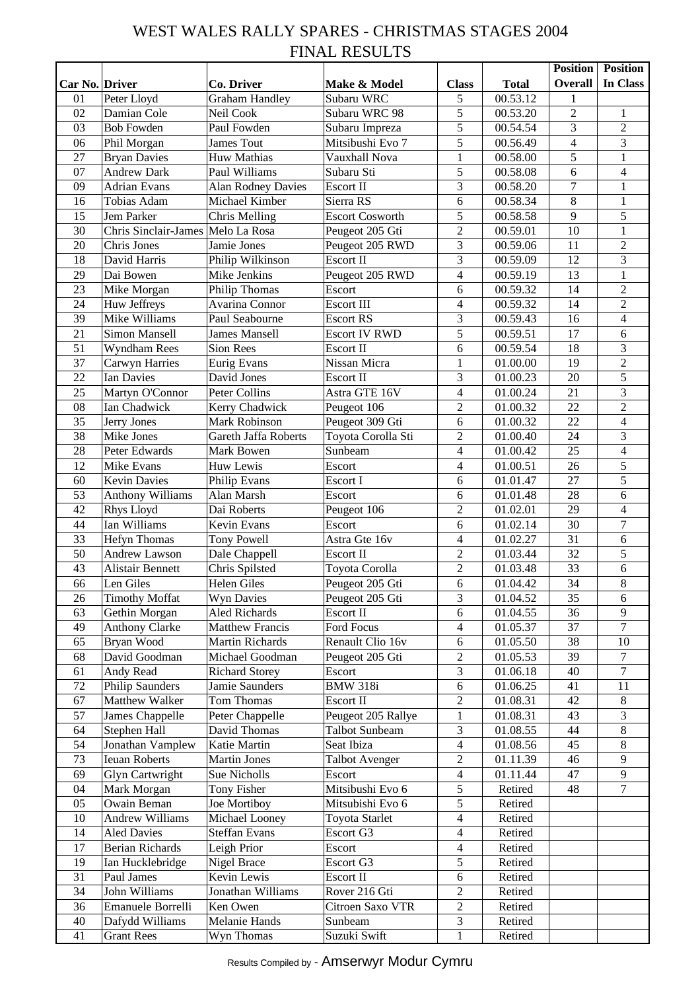## WEST WALES RALLY SPARES - CHRISTMAS STAGES 2004 FINAL RESULTS

|                |                             |                             |                        |                |              | <b>Position</b>         | <b>Position</b>  |
|----------------|-----------------------------|-----------------------------|------------------------|----------------|--------------|-------------------------|------------------|
| Car No. Driver |                             | Co. Driver                  | Make & Model           | <b>Class</b>   | <b>Total</b> | <b>Overall</b>          | In Class         |
| 01             | Peter Lloyd                 | <b>Graham Handley</b>       | Subaru WRC             | 5              | 00.53.12     | 1                       |                  |
| 02             | Damian Cole                 | Neil Cook                   | Subaru WRC 98          | 5              | 00.53.20     | $\overline{2}$          | 1                |
| 03             | <b>Bob Fowden</b>           | Paul Fowden                 | Subaru Impreza         | 5              | 00.54.54     | 3                       | $\overline{2}$   |
| 06             | Phil Morgan                 | James Tout                  | Mitsibushi Evo 7       | 5              | 00.56.49     | $\overline{\mathbf{4}}$ | 3                |
| 27             | <b>Bryan Davies</b>         | Huw Mathias                 | Vauxhall Nova          | $\mathbf{1}$   | 00.58.00     | $\overline{5}$          | $\mathbf{1}$     |
| 07             | <b>Andrew Dark</b>          | Paul Williams               | Subaru Sti             | 5              | 00.58.08     | 6                       | $\overline{4}$   |
| 09             | <b>Adrian Evans</b>         | <b>Alan Rodney Davies</b>   | Escort II              | 3              | 00.58.20     | 7                       | $\mathbf{1}$     |
| 16             | Tobias Adam                 | Michael Kimber              | Sierra RS              | 6              | 00.58.34     | $\overline{8}$          | $\mathbf{1}$     |
| 15             |                             |                             | <b>Escort Cosworth</b> | 5              |              | 9                       | 5                |
|                | Jem Parker                  | Chris Melling               |                        |                | 00.58.58     | 10                      |                  |
| 30             | <b>Chris Sinclair-James</b> | Melo La Rosa                | Peugeot 205 Gti        | $\overline{2}$ | 00.59.01     |                         | $\mathbf{1}$     |
| 20             | Chris Jones                 | Jamie Jones                 | Peugeot 205 RWD        | 3              | 00.59.06     | 11                      | $\overline{2}$   |
| 18             | David Harris                | Philip Wilkinson            | Escort II              | 3              | 00.59.09     | 12                      | $\overline{3}$   |
| 29             | Dai Bowen                   | Mike Jenkins                | Peugeot 205 RWD        | $\overline{4}$ | 00.59.19     | 13                      | $\mathbf{1}$     |
| 23             | Mike Morgan                 | Philip Thomas               | Escort                 | 6              | 00.59.32     | 14                      | $\overline{2}$   |
| 24             | Huw Jeffreys                | Avarina Connor              | <b>Escort III</b>      | $\overline{4}$ | 00.59.32     | 14                      | $\overline{2}$   |
| 39             | Mike Williams               | Paul Seabourne              | <b>Escort RS</b>       | 3              | 00.59.43     | 16                      | $\overline{4}$   |
| 21             | Simon Mansell               | <b>James Mansell</b>        | <b>Escort IV RWD</b>   | 5              | 00.59.51     | 17                      | 6                |
| 51             | Wyndham Rees                | Sion Rees                   | Escort II              | 6              | 00.59.54     | 18                      | 3                |
| 37             | Carwyn Harries              | Eurig Evans                 | Nissan Micra           | 1              | 01.00.00     | 19                      | $\overline{2}$   |
| 22             | <b>Ian Davies</b>           | David Jones                 | Escort II              | 3              | 01.00.23     | 20                      | 5                |
| 25             | Martyn O'Connor             | Peter Collins               | Astra GTE 16V          | $\overline{4}$ | 01.00.24     | $\overline{21}$         | $\overline{3}$   |
| 08             | Ian Chadwick                | Kerry Chadwick              | Peugeot 106            | $\overline{2}$ | 01.00.32     | 22                      | $\overline{c}$   |
| 35             | Jerry Jones                 | Mark Robinson               | Peugeot 309 Gti        | 6              | 01.00.32     | 22                      | $\overline{4}$   |
| 38             | Mike Jones                  | <b>Gareth Jaffa Roberts</b> | Toyota Corolla Sti     | $\overline{2}$ | 01.00.40     | 24                      | 3                |
| 28             | Peter Edwards               | Mark Bowen                  | Sunbeam                | $\overline{4}$ | 01.00.42     | 25                      | $\overline{4}$   |
| 12             | Mike Evans                  | Huw Lewis                   | Escort                 | $\overline{4}$ | 01.00.51     | 26                      | $\overline{5}$   |
| 60             | <b>Kevin Davies</b>         | Philip Evans                | Escort I               | 6              | 01.01.47     | 27                      | 5                |
| 53             | <b>Anthony Williams</b>     | Alan Marsh                  | Escort                 | 6              | 01.01.48     | 28                      | 6                |
|                |                             |                             |                        |                |              |                         |                  |
| 42             | Rhys Lloyd                  | Dai Roberts                 | Peugeot 106            | $\overline{2}$ | 01.02.01     | 29                      | $\overline{4}$   |
| 44             | Ian Williams                | Kevin Evans                 | Escort                 | 6              | 01.02.14     | 30                      | $\overline{7}$   |
| 33             | Hefyn Thomas                | Tony Powell                 | Astra Gte 16v          | $\overline{4}$ | 01.02.27     | $\overline{31}$         | 6                |
| 50             | Andrew Lawson               | Dale Chappell               | Escort II              | $\mathfrak{2}$ | 01.03.44     | 32                      | 5                |
| 43             | Alistair Bennett            | Chris Spilsted              | Toyota Corolla         | $\overline{2}$ | 01.03.48     | $\overline{33}$         | 6                |
| 66             | Len Giles                   | Helen Giles                 | Peugeot 205 Gti        | 6              | 01.04.42     | $\overline{34}$         | $\overline{8}$   |
| 26             | <b>Timothy Moffat</b>       | <b>Wyn Davies</b>           | Peugeot 205 Gti        | $\overline{3}$ | 01.04.52     | 35                      | 6                |
| 63             | Gethin Morgan               | <b>Aled Richards</b>        | Escort II              | 6              | 01.04.55     | 36                      | $\overline{9}$   |
| 49             | <b>Anthony Clarke</b>       | <b>Matthew Francis</b>      | Ford Focus             | $\overline{4}$ | 01.05.37     | 37                      | $\boldsymbol{7}$ |
| 65             | Bryan Wood                  | Martin Richards             | Renault Clio 16v       | 6              | 01.05.50     | 38                      | 10               |
| 68             | David Goodman               | Michael Goodman             | Peugeot 205 Gti        | $\overline{2}$ | 01.05.53     | 39                      | $\overline{7}$   |
| 61             | Andy Read                   | <b>Richard Storey</b>       | Escort                 | $\overline{3}$ | 01.06.18     | 40                      | $\tau$           |
| $72\,$         | <b>Philip Saunders</b>      | Jamie Saunders              | <b>BMW 318i</b>        | 6              | 01.06.25     | 41                      | 11               |
| 67             | Matthew Walker              | Tom Thomas                  | Escort II              | $\overline{2}$ | 01.08.31     | 42                      | $\,8\,$          |
| 57             | James Chappelle             | Peter Chappelle             | Peugeot 205 Rallye     | $\mathbf{1}$   | 01.08.31     | 43                      | 3                |
| 64             | Stephen Hall                | David Thomas                | Talbot Sunbeam         | 3              | 01.08.55     | 44                      | $\,8\,$          |
| 54             | Jonathan Vamplew            | Katie Martin                | Seat Ibiza             | $\overline{4}$ | 01.08.56     | 45                      | $\,8\,$          |
| 73             | <b>Ieuan Roberts</b>        | <b>Martin Jones</b>         | <b>Talbot Avenger</b>  | $\sqrt{2}$     | 01.11.39     | 46                      | 9                |
| 69             | Glyn Cartwright             | Sue Nicholls                | Escort                 | $\overline{4}$ | 01.11.44     | 47                      | 9                |
| 04             | Mark Morgan                 | <b>Tony Fisher</b>          | Mitsibushi Evo 6       | $\mathfrak s$  | Retired      | 48                      | $\overline{7}$   |
| 05             | Owain Beman                 | Joe Mortiboy                | Mitsubishi Evo 6       | $\mathfrak s$  | Retired      |                         |                  |
| 10             | <b>Andrew Williams</b>      | Michael Looney              | Toyota Starlet         | $\overline{4}$ | Retired      |                         |                  |
| 14             | <b>Aled Davies</b>          | <b>Steffan Evans</b>        | Escort G3              | $\overline{4}$ | Retired      |                         |                  |
|                |                             |                             |                        | $\overline{4}$ |              |                         |                  |
| 17             | <b>Berian Richards</b>      | Leigh Prior                 | Escort                 |                | Retired      |                         |                  |
| 19             | Ian Hucklebridge            | Nigel Brace                 | Escort G3              | 5              | Retired      |                         |                  |
| 31             | Paul James                  | Kevin Lewis                 | Escort II              | 6              | Retired      |                         |                  |
| 34             | John Williams               | Jonathan Williams           | Rover 216 Gti          | $\overline{2}$ | Retired      |                         |                  |
| 36             | Emanuele Borrelli           | Ken Owen                    | Citroen Saxo VTR       | $\overline{2}$ | Retired      |                         |                  |
| 40             | Dafydd Williams             | Melanie Hands               | Sunbeam                | $\overline{3}$ | Retired      |                         |                  |
| 41             | <b>Grant Rees</b>           | Wyn Thomas                  | Suzuki Swift           | $\mathbf{1}$   | Retired      |                         |                  |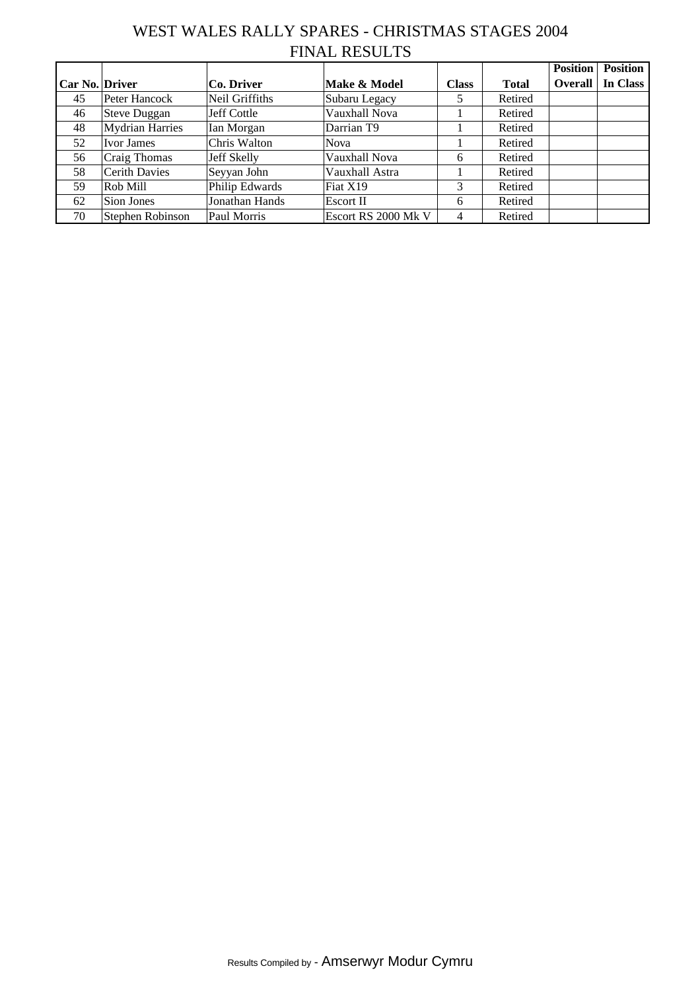## WEST WALES RALLY SPARES - CHRISTMAS STAGES 2004 FINAL RESULTS

|                |                        |                |                     |              |              | <b>Position</b> | <b>Position</b> |
|----------------|------------------------|----------------|---------------------|--------------|--------------|-----------------|-----------------|
| Car No. Driver |                        | Co. Driver     | Make & Model        | <b>Class</b> | <b>Total</b> | <b>Overall</b>  | In Class        |
| 45             | Peter Hancock          | Neil Griffiths | Subaru Legacy       |              | Retired      |                 |                 |
| 46             | <b>Steve Duggan</b>    | Jeff Cottle    | Vauxhall Nova       |              | Retired      |                 |                 |
| 48             | <b>Mydrian Harries</b> | Ian Morgan     | Darrian T9          |              | Retired      |                 |                 |
| 52             | <b>Ivor James</b>      | Chris Walton   | <b>Nova</b>         |              | Retired      |                 |                 |
| 56             | Craig Thomas           | Jeff Skelly    | Vauxhall Nova       | 6            | Retired      |                 |                 |
| 58             | <b>Cerith Davies</b>   | Seyyan John    | Vauxhall Astra      |              | Retired      |                 |                 |
| 59             | Rob Mill               | Philip Edwards | Fiat X19            | 3            | Retired      |                 |                 |
| 62             | Sion Jones             | Jonathan Hands | Escort II           | 6            | Retired      |                 |                 |
| 70             | Stephen Robinson       | Paul Morris    | Escort RS 2000 Mk V | 4            | Retired      |                 |                 |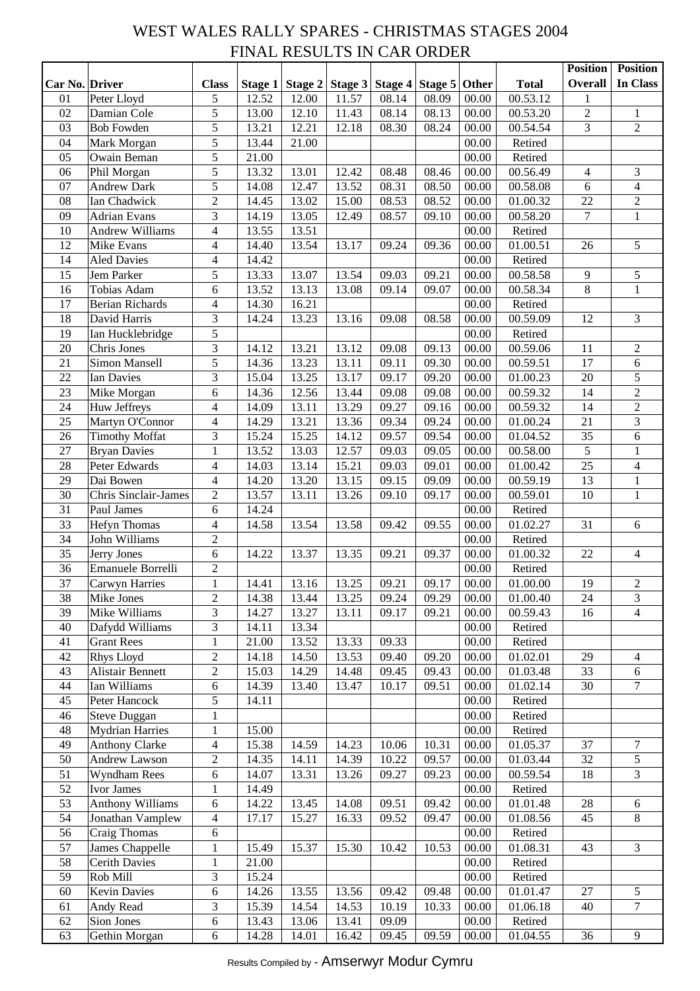#### WEST WALES RALLY SPARES - CHRISTMAS STAGES 2004 FINAL RESULTS IN CAR ORDER

|                |                         |                          |                    |                |         |         |         |       |              | <b>Position</b> | <b>Position</b>         |
|----------------|-------------------------|--------------------------|--------------------|----------------|---------|---------|---------|-------|--------------|-----------------|-------------------------|
| Car No. Driver |                         | <b>Class</b>             | Stage 1            | <b>Stage 2</b> | Stage 3 | Stage 4 | Stage 5 | Other | <b>Total</b> | <b>Overall</b>  | In Class                |
| 01             | Peter Lloyd             | $\mathfrak{S}$           | 12.52              | 12.00          | 11.57   | 08.14   | 08.09   | 00.00 | 00.53.12     | 1               |                         |
| 02             | Damian Cole             | 5                        | 13.00              | 12.10          | 11.43   | 08.14   | 08.13   | 00.00 | 00.53.20     | $\sqrt{2}$      | $\mathbf{1}$            |
| 03             | <b>Bob Fowden</b>       | 5                        | 13.21              | 12.21          | 12.18   | 08.30   | 08.24   | 00.00 | 00.54.54     | 3               | $\sqrt{2}$              |
| 04             | Mark Morgan             | 5                        | $\overline{13.44}$ | 21.00          |         |         |         | 00.00 | Retired      |                 |                         |
| 05             | Owain Beman             | 5                        | 21.00              |                |         |         |         | 00.00 | Retired      |                 |                         |
| 06             | Phil Morgan             | 5                        | 13.32              | 13.01          | 12.42   | 08.48   | 08.46   | 00.00 | 00.56.49     | 4               | 3                       |
| 07             | <b>Andrew Dark</b>      | 5                        | 14.08              | 12.47          | 13.52   | 08.31   | 08.50   | 00.00 | 00.58.08     | 6               | $\overline{4}$          |
| 08             | Ian Chadwick            | $\overline{2}$           | 14.45              | 13.02          | 15.00   | 08.53   | 08.52   | 00.00 | 01.00.32     | 22              | $\sqrt{2}$              |
| 09             | <b>Adrian Evans</b>     | 3                        | 14.19              | 13.05          | 12.49   | 08.57   | 09.10   | 00.00 | 00.58.20     | $\overline{7}$  | $\,1$                   |
| 10             | <b>Andrew Williams</b>  | $\overline{\mathbf{4}}$  | 13.55              | 13.51          |         |         |         | 00.00 | Retired      |                 |                         |
| 12             | Mike Evans              | $\overline{4}$           | 14.40              | 13.54          | 13.17   | 09.24   | 09.36   | 00.00 | 01.00.51     | 26              | 5                       |
| 14             | <b>Aled Davies</b>      | $\overline{\mathcal{A}}$ | 14.42              |                |         |         |         | 00.00 | Retired      |                 |                         |
| 15             | Jem Parker              | $\mathfrak s$            | 13.33              | 13.07          | 13.54   | 09.03   | 09.21   | 00.00 | 00.58.58     | $\overline{9}$  | $\mathfrak s$           |
| 16             | Tobias Adam             | 6                        | 13.52              | 13.13          | 13.08   | 09.14   | 09.07   | 00.00 | 00.58.34     | $\,8\,$         | $\mathbf{1}$            |
| 17             | <b>Berian Richards</b>  | $\overline{4}$           | 14.30              | 16.21          |         |         |         | 00.00 | Retired      |                 |                         |
| 18             | David Harris            | 3                        | 14.24              | 13.23          | 13.16   | 09.08   | 08.58   | 00.00 | 00.59.09     | 12              | 3                       |
|                |                         | 5                        |                    |                |         |         |         |       |              |                 |                         |
| 19             | Ian Hucklebridge        |                          |                    |                |         |         |         | 00.00 | Retired      |                 |                         |
| $20\,$         | Chris Jones             | 3                        | 14.12              | 13.21          | 13.12   | 09.08   | 09.13   | 00.00 | 00.59.06     | 11              | $\mathbf{2}$            |
| 21             | Simon Mansell           | 5                        | 14.36              | 13.23          | 13.11   | 09.11   | 09.30   | 00.00 | 00.59.51     | 17              | 6                       |
| 22             | <b>Ian Davies</b>       | 3                        | 15.04              | 13.25          | 13.17   | 09.17   | 09.20   | 00.00 | 01.00.23     | 20              | 5                       |
| 23             | Mike Morgan             | 6                        | 14.36              | 12.56          | 13.44   | 09.08   | 09.08   | 00.00 | 00.59.32     | 14              | $\overline{c}$          |
| 24             | Huw Jeffreys            | $\overline{\mathbf{4}}$  | 14.09              | 13.11          | 13.29   | 09.27   | 09.16   | 00.00 | 00.59.32     | 14              | $\overline{c}$          |
| 25             | Martyn O'Connor         | $\overline{\mathbf{4}}$  | 14.29              | 13.21          | 13.36   | 09.34   | 09.24   | 00.00 | 01.00.24     | 21              | $\overline{\mathbf{3}}$ |
| 26             | <b>Timothy Moffat</b>   | 3                        | 15.24              | 15.25          | 14.12   | 09.57   | 09.54   | 00.00 | 01.04.52     | 35              | 6                       |
| 27             | <b>Bryan Davies</b>     | $\mathbf{1}$             | 13.52              | 13.03          | 12.57   | 09.03   | 09.05   | 00.00 | 00.58.00     | $\overline{5}$  | $\mathbf{1}$            |
| 28             | Peter Edwards           | $\overline{4}$           | 14.03              | 13.14          | 15.21   | 09.03   | 09.01   | 00.00 | 01.00.42     | 25              | $\overline{4}$          |
| 29             | Dai Bowen               | $\overline{4}$           | 14.20              | 13.20          | 13.15   | 09.15   | 09.09   | 00.00 | 00.59.19     | 13              | $\,1\,$                 |
| 30             | Chris Sinclair-James    | $\sqrt{2}$               | 13.57              | 13.11          | 13.26   | 09.10   | 09.17   | 00.00 | 00.59.01     | 10              | $\,1\,$                 |
| 31             | Paul James              | 6                        | 14.24              |                |         |         |         | 00.00 | Retired      |                 |                         |
| 33             | Hefyn Thomas            | $\overline{\mathbf{4}}$  | 14.58              | 13.54          | 13.58   | 09.42   | 09.55   | 00.00 | 01.02.27     | 31              | 6                       |
| 34             | John Williams           | $\overline{2}$           |                    |                |         |         |         | 00.00 | Retired      |                 |                         |
| 35             | Jerry Jones             | 6                        | 14.22              | 13.37          | 13.35   | 09.21   | 09.37   | 00.00 | 01.00.32     | $22\,$          | $\overline{4}$          |
| 36             | Emanuele Borrelli       | $\overline{2}$           |                    |                |         |         |         | 00.00 | Retired      |                 |                         |
| 37             | Carwyn Harries          | $\mathbf{1}$             | 14.41              | 13.16          | 13.25   | 09.21   | 09.17   | 00.00 | 01.00.00     | 19              | $\overline{2}$          |
| 38             | Mike Jones              | $\mathfrak{2}$           | 14.38              | 13.44          | 13.25   | 09.24   | 09.29   | 00.00 | 01.00.40     | 24              | $\mathfrak{Z}$          |
| 39             | Mike Williams           | 3                        | 14.27              | 13.27          | 13.11   | 09.17   | 09.21   | 00.00 | 00.59.43     | 16              | $\overline{4}$          |
| 40             | Dafydd Williams         | $\mathfrak{Z}$           | 14.11              | 13.34          |         |         |         | 00.00 | Retired      |                 |                         |
| 41             | <b>Grant Rees</b>       | 1                        | 21.00              | 13.52          | 13.33   | 09.33   |         | 00.00 | Retired      |                 |                         |
| 42             | Rhys Lloyd              | $\sqrt{2}$               | 14.18              | 14.50          | 13.53   | 09.40   | 09.20   | 00.00 | 01.02.01     | 29              | $\overline{4}$          |
| 43             | Alistair Bennett        | $\overline{c}$           | 15.03              | 14.29          | 14.48   | 09.45   | 09.43   | 00.00 | 01.03.48     | 33              | 6                       |
| $44$           | Ian Williams            | $\sqrt{6}$               | 14.39              | 13.40          | 13.47   | 10.17   | 09.51   | 00.00 | 01.02.14     | 30              | $\overline{7}$          |
| 45             | Peter Hancock           | 5                        | 14.11              |                |         |         |         | 00.00 | Retired      |                 |                         |
| 46             | Steve Duggan            | $\mathbf{1}$             |                    |                |         |         |         | 00.00 | Retired      |                 |                         |
| 48             | <b>Mydrian Harries</b>  | $\mathbf{1}$             | 15.00              |                |         |         |         | 00.00 | Retired      |                 |                         |
| 49             |                         | $\overline{4}$           |                    |                |         |         |         |       | 01.05.37     | 37              | $\tau$                  |
|                | <b>Anthony Clarke</b>   |                          | 15.38              | 14.59          | 14.23   | 10.06   | 10.31   | 00.00 |              |                 |                         |
| $50\,$         | Andrew Lawson           | $\sqrt{2}$               | 14.35              | 14.11          | 14.39   | 10.22   | 09.57   | 00.00 | 01.03.44     | 32              | 5                       |
| 51             | <b>Wyndham Rees</b>     | $\sqrt{6}$               | 14.07              | 13.31          | 13.26   | 09.27   | 09.23   | 00.00 | 00.59.54     | 18              | $\mathfrak{Z}$          |
| 52             | Ivor James              | 1                        | 14.49              |                |         |         |         | 00.00 | Retired      |                 |                         |
| 53             | <b>Anthony Williams</b> | $\sqrt{6}$               | 14.22              | 13.45          | 14.08   | 09.51   | 09.42   | 00.00 | 01.01.48     | 28              | 6                       |
| 54             | Jonathan Vamplew        | $\overline{4}$           | 17.17              | 15.27          | 16.33   | 09.52   | 09.47   | 00.00 | 01.08.56     | 45              | $8\,$                   |
| 56             | Craig Thomas            | $6\,$                    |                    |                |         |         |         | 00.00 | Retired      |                 |                         |
| 57             | James Chappelle         | 1                        | 15.49              | 15.37          | 15.30   | 10.42   | 10.53   | 00.00 | 01.08.31     | 43              | $\mathfrak{Z}$          |
| 58             | <b>Cerith Davies</b>    | $\mathbf{1}$             | 21.00              |                |         |         |         | 00.00 | Retired      |                 |                         |
| 59             | Rob Mill                | 3                        | 15.24              |                |         |         |         | 00.00 | Retired      |                 |                         |
| 60             | <b>Kevin Davies</b>     | $\sqrt{6}$               | 14.26              | 13.55          | 13.56   | 09.42   | 09.48   | 00.00 | 01.01.47     | 27              | 5                       |
| 61             | Andy Read               | 3                        | 15.39              | 14.54          | 14.53   | 10.19   | 10.33   | 00.00 | 01.06.18     | 40              | $\overline{7}$          |
| 62             | Sion Jones              | $\sqrt{6}$               | 13.43              | 13.06          | 13.41   | 09.09   |         | 00.00 | Retired      |                 |                         |
| 63             | Gethin Morgan           | $\sqrt{6}$               | 14.28              | 14.01          | 16.42   | 09.45   | 09.59   | 00.00 | 01.04.55     | 36              | 9                       |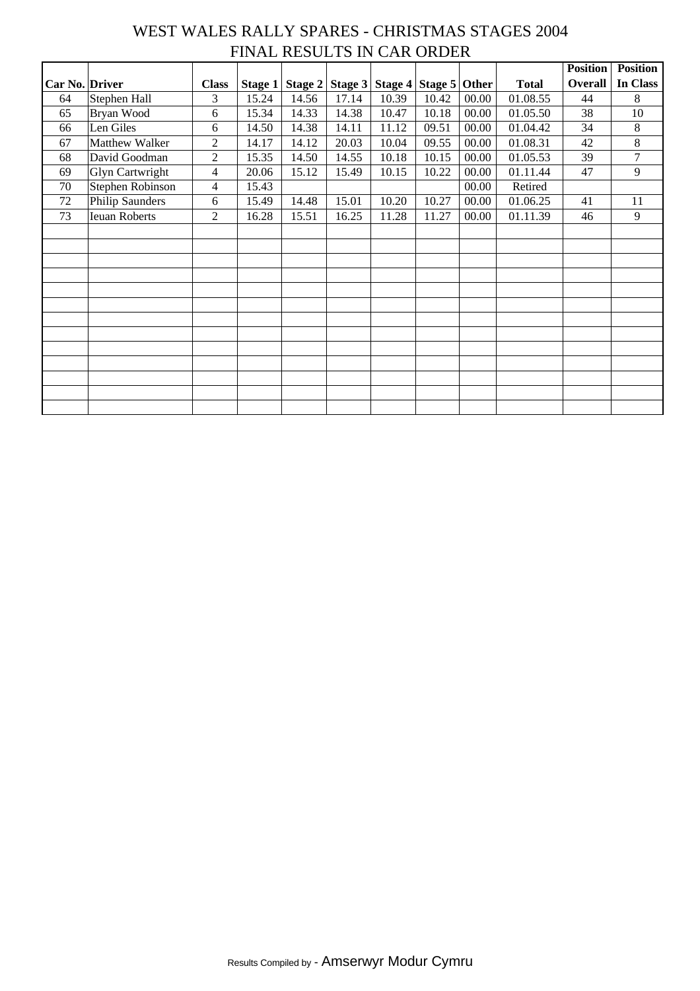#### WEST WALES RALLY SPARES - CHRISTMAS STAGES 2004 FINAL RESULTS IN CAR ORDER

|                |                        |                |                |         |         |       |                 |       |              | <b>Position</b> | <b>Position</b> |
|----------------|------------------------|----------------|----------------|---------|---------|-------|-----------------|-------|--------------|-----------------|-----------------|
| Car No. Driver |                        | <b>Class</b>   | <b>Stage 1</b> | Stage 2 | Stage 3 |       | Stage 4 Stage 5 | Other | <b>Total</b> | Overall         | In Class        |
| 64             | Stephen Hall           | 3              | 15.24          | 14.56   | 17.14   | 10.39 | 10.42           | 00.00 | 01.08.55     | 44              | 8               |
| 65             | Bryan Wood             | 6              | 15.34          | 14.33   | 14.38   | 10.47 | 10.18           | 00.00 | 01.05.50     | 38              | $10\,$          |
| 66             | Len Giles              | 6              | 14.50          | 14.38   | 14.11   | 11.12 | 09.51           | 00.00 | 01.04.42     | 34              | $8\,$           |
| 67             | Matthew Walker         | $\overline{2}$ | 14.17          | 14.12   | 20.03   | 10.04 | 09.55           | 00.00 | 01.08.31     | 42              | $8\,$           |
| 68             | David Goodman          | $\overline{2}$ | 15.35          | 14.50   | 14.55   | 10.18 | 10.15           | 00.00 | 01.05.53     | 39              | $\overline{7}$  |
| 69             | <b>Glyn Cartwright</b> | 4              | 20.06          | 15.12   | 15.49   | 10.15 | 10.22           | 00.00 | 01.11.44     | 47              | 9               |
| 70             | Stephen Robinson       | 4              | 15.43          |         |         |       |                 | 00.00 | Retired      |                 |                 |
| $72\,$         | <b>Philip Saunders</b> | 6              | 15.49          | 14.48   | 15.01   | 10.20 | 10.27           | 00.00 | 01.06.25     | 41              | 11              |
| 73             | <b>Ieuan Roberts</b>   | $\overline{2}$ | 16.28          | 15.51   | 16.25   | 11.28 | 11.27           | 00.00 | 01.11.39     | 46              | 9               |
|                |                        |                |                |         |         |       |                 |       |              |                 |                 |
|                |                        |                |                |         |         |       |                 |       |              |                 |                 |
|                |                        |                |                |         |         |       |                 |       |              |                 |                 |
|                |                        |                |                |         |         |       |                 |       |              |                 |                 |
|                |                        |                |                |         |         |       |                 |       |              |                 |                 |
|                |                        |                |                |         |         |       |                 |       |              |                 |                 |
|                |                        |                |                |         |         |       |                 |       |              |                 |                 |
|                |                        |                |                |         |         |       |                 |       |              |                 |                 |
|                |                        |                |                |         |         |       |                 |       |              |                 |                 |
|                |                        |                |                |         |         |       |                 |       |              |                 |                 |
|                |                        |                |                |         |         |       |                 |       |              |                 |                 |
|                |                        |                |                |         |         |       |                 |       |              |                 |                 |
|                |                        |                |                |         |         |       |                 |       |              |                 |                 |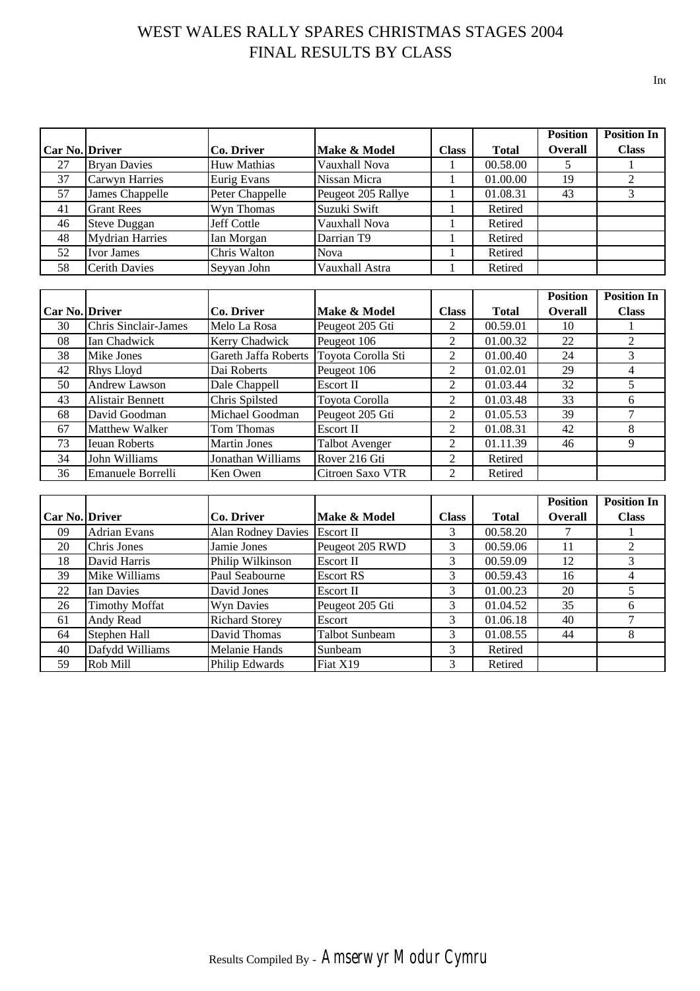## WEST WALES RALLY SPARES CHRISTMAS STAGES 2004 FINAL RESULTS BY CLASS

|                       |                        |                    |                    |              |              | <b>Position</b> | <b>Position In</b> |
|-----------------------|------------------------|--------------------|--------------------|--------------|--------------|-----------------|--------------------|
| <b>Car No. Driver</b> |                        | Co. Driver         | Make & Model       | <b>Class</b> | <b>Total</b> | <b>Overall</b>  | <b>Class</b>       |
| 27                    | <b>Bryan Davies</b>    | <b>Huw Mathias</b> | Vauxhall Nova      |              | 00.58.00     |                 |                    |
| 37                    | Carwyn Harries         | <b>Eurig Evans</b> | Nissan Micra       |              | 01.00.00     | 19              |                    |
| 57                    | James Chappelle        | Peter Chappelle    | Peugeot 205 Rallye |              | 01.08.31     | 43              |                    |
| 41                    | <b>Grant Rees</b>      | Wyn Thomas         | Suzuki Swift       |              | Retired      |                 |                    |
| 46                    | <b>Steve Duggan</b>    | Jeff Cottle        | Vauxhall Nova      |              | Retired      |                 |                    |
| 48                    | <b>Mydrian Harries</b> | Ian Morgan         | Darrian T9         |              | Retired      |                 |                    |
| 52                    | <b>Ivor James</b>      | Chris Walton       | <b>Nova</b>        |              | Retired      |                 |                    |
| 58                    | <b>Cerith Davies</b>   | Seyyan John        | Vauxhall Astra     |              | Retired      |                 |                    |

|                       |                             |                      |                       |                |              | <b>Position</b> | <b>Position In</b> |
|-----------------------|-----------------------------|----------------------|-----------------------|----------------|--------------|-----------------|--------------------|
| <b>Car No. Driver</b> |                             | Co. Driver           | Make & Model          | <b>Class</b>   | <b>Total</b> | <b>Overall</b>  | <b>Class</b>       |
| 30                    | <b>Chris Sinclair-James</b> | Melo La Rosa         | Peugeot 205 Gti       | 2              | 00.59.01     | 10              |                    |
| 08                    | Ian Chadwick                | Kerry Chadwick       | Peugeot 106           | $\mathcal{L}$  | 01.00.32     | 22              |                    |
| 38                    | Mike Jones                  | Gareth Jaffa Roberts | Toyota Corolla Sti    | $\mathfrak{D}$ | 01.00.40     | 24              | 3                  |
| 42                    | Rhys Lloyd                  | Dai Roberts          | Peugeot 106           | 2              | 01.02.01     | 29              | 4                  |
| 50                    | Andrew Lawson               | Dale Chappell        | Escort II             | 2              | 01.03.44     | 32              | 5                  |
| 43                    | <b>Alistair Bennett</b>     | Chris Spilsted       | Toyota Corolla        | $\mathfrak{D}$ | 01.03.48     | 33              | 6                  |
| 68                    | David Goodman               | Michael Goodman      | Peugeot 205 Gti       | 2              | 01.05.53     | 39              |                    |
| 67                    | <b>Matthew Walker</b>       | Tom Thomas           | Escort II             | 2              | 01.08.31     | 42              | 8                  |
| 73                    | <b>Ieuan Roberts</b>        | <b>Martin Jones</b>  | <b>Talbot Avenger</b> | 2              | 01.11.39     | 46              | 9                  |
| 34                    | John Williams               | Jonathan Williams    | Rover 216 Gti         | 2              | Retired      |                 |                    |
| 36                    | Emanuele Borrelli           | Ken Owen             | Citroen Saxo VTR      | $\overline{2}$ | Retired      |                 |                    |

|                       |                       |                           |                       |              |              | <b>Position</b> | <b>Position In</b> |
|-----------------------|-----------------------|---------------------------|-----------------------|--------------|--------------|-----------------|--------------------|
| <b>Car No. Driver</b> |                       | Co. Driver                | Make & Model          | <b>Class</b> | <b>Total</b> | <b>Overall</b>  | <b>Class</b>       |
| 09                    | <b>Adrian Evans</b>   | <b>Alan Rodney Davies</b> | Escort II             | 3            | 00.58.20     |                 |                    |
| 20                    | Chris Jones           | Jamie Jones               | Peugeot 205 RWD       | 3            | 00.59.06     | 11              |                    |
| 18                    | David Harris          | Philip Wilkinson          | Escort II             | 3            | 00.59.09     | 12              |                    |
| 39                    | Mike Williams         | Paul Seabourne            | <b>Escort RS</b>      | 3            | 00.59.43     | 16              |                    |
| 22                    | Ian Davies            | David Jones               | <b>Escort II</b>      | 3            | 01.00.23     | 20              |                    |
| 26                    | <b>Timothy Moffat</b> | Wyn Davies                | Peugeot 205 Gti       | 3            | 01.04.52     | 35              | h                  |
| 61                    | Andy Read             | <b>Richard Storey</b>     | Escort                | 3            | 01.06.18     | 40              |                    |
| 64                    | Stephen Hall          | David Thomas              | <b>Talbot Sunbeam</b> | 3            | 01.08.55     | 44              | 8                  |
| 40                    | Dafydd Williams       | Melanie Hands             | Sunbeam               | 3            | Retired      |                 |                    |
| 59                    | Rob Mill              | Philip Edwards            | Fiat X19              | 3            | Retired      |                 |                    |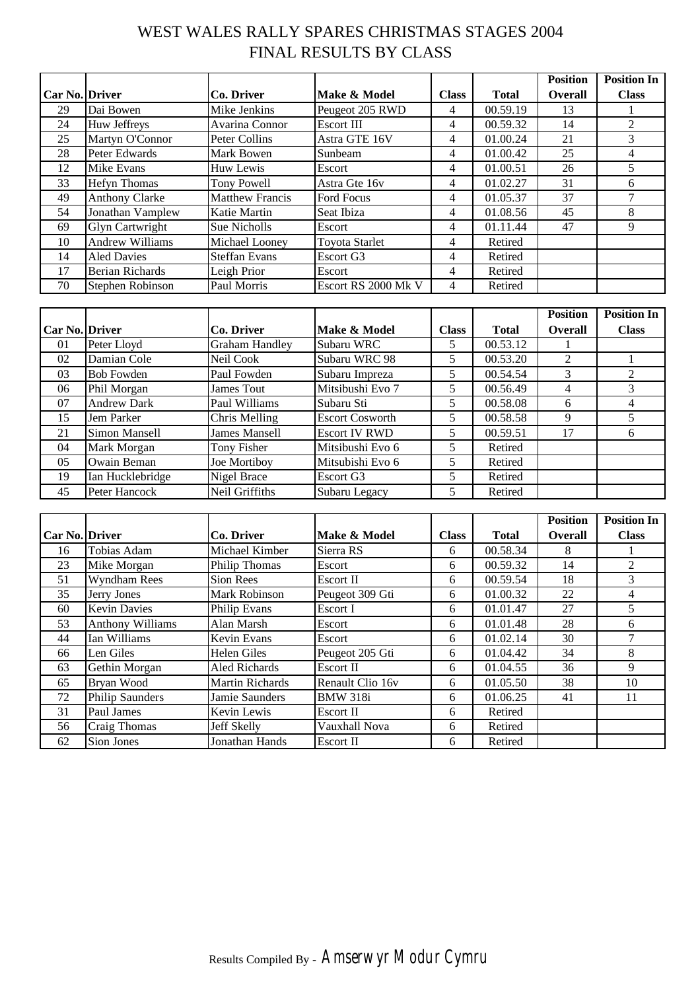## WEST WALES RALLY SPARES CHRISTMAS STAGES 2004 FINAL RESULTS BY CLASS

|                       |                        |                        |                       |              |              | <b>Position</b> | <b>Position In</b> |
|-----------------------|------------------------|------------------------|-----------------------|--------------|--------------|-----------------|--------------------|
| <b>Car No. Driver</b> |                        | Co. Driver             | Make & Model          | <b>Class</b> | <b>Total</b> | <b>Overall</b>  | <b>Class</b>       |
| 29                    | Dai Bowen              | Mike Jenkins           | Peugeot 205 RWD       | 4            | 00.59.19     | 13              |                    |
| 24                    | Huw Jeffreys           | Avarina Connor         | Escort III            | 4            | 00.59.32     | 14              | 2                  |
| 25                    | Martyn O'Connor        | Peter Collins          | Astra GTE 16V         | 4            | 01.00.24     | 21              | 3                  |
| 28                    | Peter Edwards          | Mark Bowen             | Sunbeam               | 4            | 01.00.42     | 25              | 4                  |
| 12                    | Mike Evans             | Huw Lewis              | Escort                | 4            | 01.00.51     | 26              |                    |
| 33                    | <b>Hefyn Thomas</b>    | <b>Tony Powell</b>     | Astra Gte 16v         | 4            | 01.02.27     | 31              | 6                  |
| 49                    | <b>Anthony Clarke</b>  | <b>Matthew Francis</b> | Ford Focus            | 4            | 01.05.37     | 37              | 7                  |
| 54                    | Jonathan Vamplew       | Katie Martin           | Seat Ibiza            | 4            | 01.08.56     | 45              | 8                  |
| 69                    | <b>Glyn Cartwright</b> | Sue Nicholls           | Escort                | 4            | 01.11.44     | 47              | 9                  |
| 10                    | <b>Andrew Williams</b> | Michael Looney         | <b>Toyota Starlet</b> | 4            | Retired      |                 |                    |
| 14                    | <b>Aled Davies</b>     | <b>Steffan Evans</b>   | Escort G3             | 4            | Retired      |                 |                    |
| 17                    | <b>Berian Richards</b> | Leigh Prior            | Escort                | 4            | Retired      |                 |                    |
| 70                    | Stephen Robinson       | Paul Morris            | Escort RS 2000 Mk V   | 4            | Retired      |                 |                    |

|                       |                    |                       |                        |              |              | <b>Position</b> | <b>Position In</b>          |
|-----------------------|--------------------|-----------------------|------------------------|--------------|--------------|-----------------|-----------------------------|
| <b>Car No. Driver</b> |                    | Co. Driver            | Make & Model           | <b>Class</b> | <b>Total</b> | <b>Overall</b>  | <b>Class</b>                |
| 01                    | Peter Lloyd        | <b>Graham Handley</b> | Subaru WRC             |              | 00.53.12     |                 |                             |
| 02                    | Damian Cole        | Neil Cook             | Subaru WRC 98          | 5            | 00.53.20     | $\mathfrak{D}$  |                             |
| 03                    | <b>Bob Fowden</b>  | Paul Fowden           | Subaru Impreza         | 5.           | 00.54.54     | 3               | $\mathcal{D}_{\mathcal{L}}$ |
| 06                    | Phil Morgan        | James Tout            | Mitsibushi Evo 7       | 5            | 00.56.49     | 4               | 3                           |
| 07                    | <b>Andrew Dark</b> | Paul Williams         | Subaru Sti             | 5            | 00.58.08     | 6               | 4                           |
| 15                    | Jem Parker         | Chris Melling         | <b>Escort Cosworth</b> |              | 00.58.58     | 9               |                             |
| 21                    | Simon Mansell      | James Mansell         | <b>Escort IV RWD</b>   | 5            | 00.59.51     | 17              | 6                           |
| 04                    | Mark Morgan        | Tony Fisher           | Mitsibushi Evo 6       |              | Retired      |                 |                             |
| 05                    | Owain Beman        | Joe Mortiboy          | Mitsubishi Evo 6       |              | Retired      |                 |                             |
| 19                    | Ian Hucklebridge   | Nigel Brace           | Escort G3              |              | Retired      |                 |                             |
| 45                    | Peter Hancock      | Neil Griffiths        | Subaru Legacy          |              | Retired      |                 |                             |

|                       |                         |                        |                  |              |              | <b>Position</b> | <b>Position In</b> |
|-----------------------|-------------------------|------------------------|------------------|--------------|--------------|-----------------|--------------------|
| <b>Car No. Driver</b> |                         | Co. Driver             | Make & Model     | <b>Class</b> | <b>Total</b> | Overall         | <b>Class</b>       |
| 16                    | Tobias Adam             | Michael Kimber         | Sierra RS        | 6            | 00.58.34     | 8               |                    |
| 23                    | Mike Morgan             | <b>Philip Thomas</b>   | Escort           | 6            | 00.59.32     | 14              | 2                  |
| 51                    | Wyndham Rees            | Sion Rees              | Escort II        | 6            | 00.59.54     | 18              | 3                  |
| 35                    | Jerry Jones             | <b>Mark Robinson</b>   | Peugeot 309 Gti  | 6            | 01.00.32     | 22              | 4                  |
| 60                    | <b>Kevin Davies</b>     | Philip Evans           | Escort I         | 6            | 01.01.47     | 27              | 5                  |
| 53                    | <b>Anthony Williams</b> | Alan Marsh             | Escort           | 6            | 01.01.48     | 28              | 6                  |
| 44                    | Ian Williams            | <b>Kevin Evans</b>     | Escort           | 6            | 01.02.14     | 30              |                    |
| 66                    | Len Giles               | <b>Helen Giles</b>     | Peugeot 205 Gti  | 6            | 01.04.42     | 34              | 8                  |
| 63                    | Gethin Morgan           | Aled Richards          | <b>Escort II</b> | 6            | 01.04.55     | 36              | 9                  |
| 65                    | Bryan Wood              | <b>Martin Richards</b> | Renault Clio 16v | 6            | 01.05.50     | 38              | 10                 |
| 72                    | <b>Philip Saunders</b>  | Jamie Saunders         | <b>BMW 318i</b>  | 6            | 01.06.25     | 41              | 11                 |
| 31                    | Paul James              | Kevin Lewis            | Escort II        | 6            | Retired      |                 |                    |
| 56                    | Craig Thomas            | Jeff Skelly            | Vauxhall Nova    | 6            | Retired      |                 |                    |
| 62                    | Sion Jones              | Jonathan Hands         | Escort II        | 6            | Retired      |                 |                    |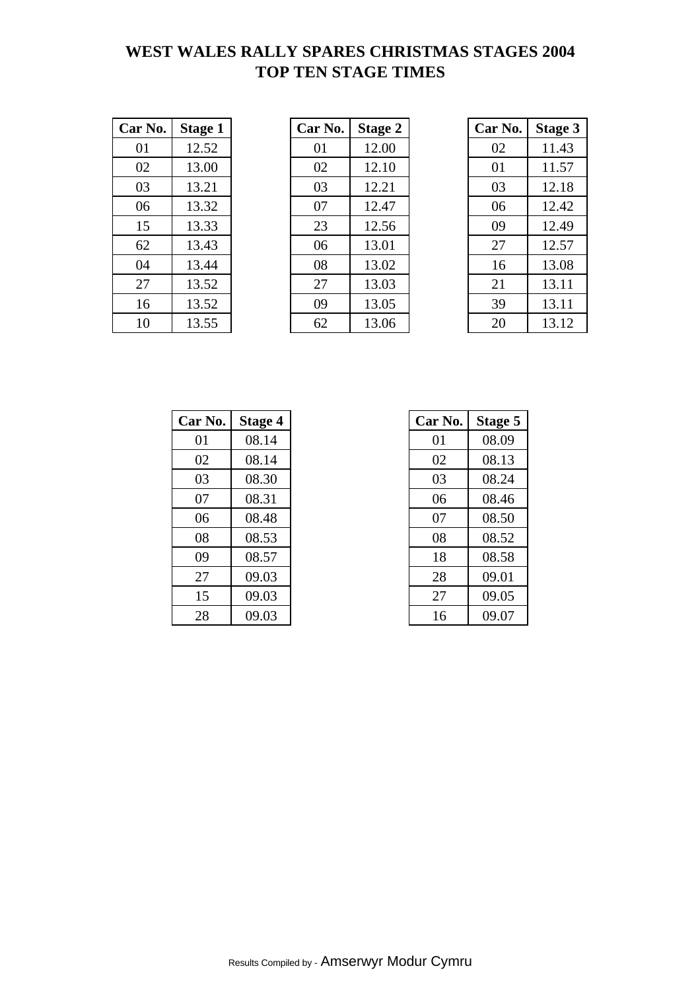## **WEST WALES RALLY SPARES CHRISTMAS STAGES 2004 TOP TEN STAGE TIMES**

| Car No. | <b>Stage 1</b> |
|---------|----------------|
| 01      | 12.52          |
| 02      | 13.00          |
| 03      | 13.21          |
| 06      | 13.32          |
| 15      | 13.33          |
| 62      | 13.43          |
| 04      | 13.44          |
| 27      | 13.52          |
| 16      | 13.52          |
| 10      | 13.55          |

| Car No. | <b>Stage 1</b> | Car No. | <b>Stage 2</b> | Car No. | <b>Stage 3</b> |  |
|---------|----------------|---------|----------------|---------|----------------|--|
| 01      | 12.52          | 01      | 12.00          | 02      | 11.43          |  |
| 02      | 13.00          | 02      | 12.10          | 01      | 11.57          |  |
| 03      | 13.21          | 03      | 12.21          | 03      | 12.18          |  |
| 06      | 13.32          | 07      | 12.47          | 06      | 12.42          |  |
| 15      | 13.33          | 23      | 12.56          | 09      | 12.49          |  |
| 62      | 13.43          | 06      | 13.01          | 27      | 12.57          |  |
| 04      | 13.44          | 08      | 13.02          | 16      | 13.08          |  |
| 27      | 13.52          | 27      | 13.03          | 21      | 13.11          |  |
| 16      | 13.52          | 09      | 13.05          | 39      | 13.11          |  |
| 10      | 13.55          | 62      | 13.06          | 20      | 13.12          |  |

| Car No. | <b>Stage 3</b> |
|---------|----------------|
| 02      | 11.43          |
| 01      | 11.57          |
| 03      | 12.18          |
| 06      | 12.42          |
| 09      | 12.49          |
| 27      | 12.57          |
| 16      | 13.08          |
| 21      | 13.11          |
| 39      | 13.11          |
| 20      | 13.12          |

| Car No. | Stage 4 | Car No. | Stage 5 |
|---------|---------|---------|---------|
| 01      | 08.14   | 01      | 08.09   |
| 02      | 08.14   | 02      | 08.13   |
| 03      | 08.30   | 03      | 08.24   |
| 07      | 08.31   | 06      | 08.46   |
| 06      | 08.48   | 07      | 08.50   |
| 08      | 08.53   | 08      | 08.52   |
| 09      | 08.57   | 18      | 08.58   |
| 27      | 09.03   | 28      | 09.01   |
| 15      | 09.03   | 27      | 09.05   |
| 28      | 09.03   | 16      | 09.07   |

| r No. | <b>Stage 4</b> | Car No. | Stage 5 |
|-------|----------------|---------|---------|
| 01    | 08.14          | 01      | 08.09   |
| 02    | 08.14          | 02      | 08.13   |
| 03    | 08.30          | 03      | 08.24   |
| 07    | 08.31          | 06      | 08.46   |
| 06    | 08.48          | 07      | 08.50   |
| 08    | 08.53          | 08      | 08.52   |
| 09    | 08.57          | 18      | 08.58   |
| 27    | 09.03          | 28      | 09.01   |
| 15    | 09.03          | 27      | 09.05   |
| 28    | 09.03          | 16      | 09.07   |

Results Compiled by - Amserwyr Modur Cymru